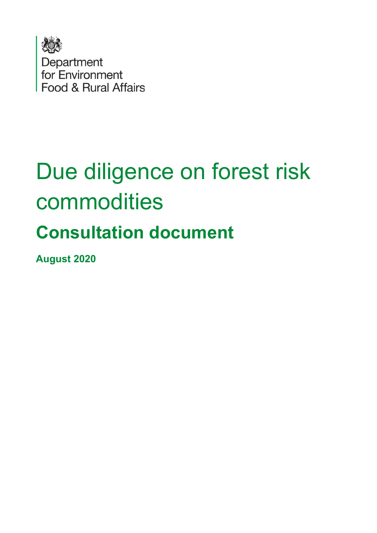

# Due diligence on forest risk commodities **Consultation document**

**August 2020**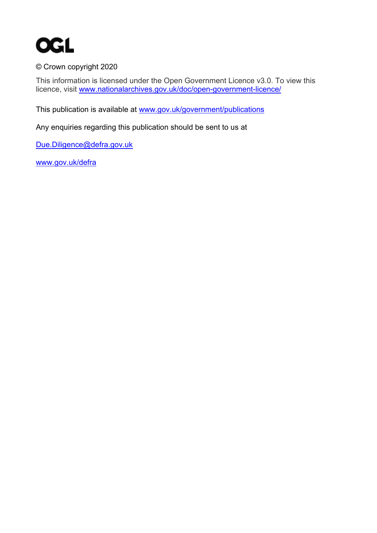

© Crown copyright 2020

This information is licensed under the Open Government Licence v3.0. To view this licence, visit [www.nationalarchives.gov.uk/doc/open-government-licence/](http://www.nationalarchives.gov.uk/doc/open-government-licence/)

This publication is available at [www.gov.uk/government/publications](http://www.gov.uk/government/publications) 

Any enquiries regarding this publication should be sent to us at

[Due.Diligence@defra.gov.uk](mailto:Due.Diligence@defra.gov.uk)

[www.gov.uk/defra](http://www.gov.uk/defra)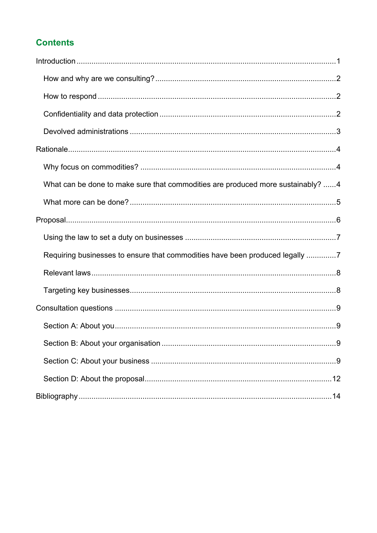#### **Contents**

| What can be done to make sure that commodities are produced more sustainably? 4 |  |
|---------------------------------------------------------------------------------|--|
|                                                                                 |  |
|                                                                                 |  |
|                                                                                 |  |
| Requiring businesses to ensure that commodities have been produced legally 7    |  |
|                                                                                 |  |
|                                                                                 |  |
|                                                                                 |  |
|                                                                                 |  |
|                                                                                 |  |
|                                                                                 |  |
|                                                                                 |  |
|                                                                                 |  |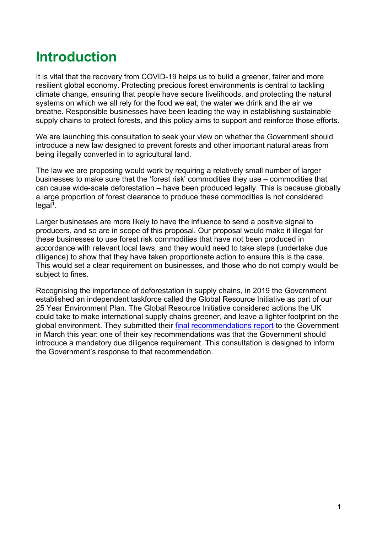# <span id="page-3-0"></span>**Introduction**

It is vital that the recovery from COVID-19 helps us to build a greener, fairer and more resilient global economy. Protecting precious forest environments is central to tackling climate change, ensuring that people have secure livelihoods, and protecting the natural systems on which we all rely for the food we eat, the water we drink and the air we breathe. Responsible businesses have been leading the way in establishing sustainable supply chains to protect forests, and this policy aims to support and reinforce those efforts.

We are launching this consultation to seek your view on whether the Government should introduce a new law designed to prevent forests and other important natural areas from being illegally converted in to agricultural land.

The law we are proposing would work by requiring a relatively small number of larger businesses to make sure that the 'forest risk' commodities they use – commodities that can cause wide-scale deforestation – have been produced legally. This is because globally a large proportion of forest clearance to produce these commodities is not considered  $leq aal<sup>1</sup>$ .

Larger businesses are more likely to have the influence to send a positive signal to producers, and so are in scope of this proposal. Our proposal would make it illegal for these businesses to use forest risk commodities that have not been produced in accordance with relevant local laws, and they would need to take steps (undertake due diligence) to show that they have taken proportionate action to ensure this is the case. This would set a clear requirement on businesses, and those who do not comply would be subject to fines.

Recognising the importance of deforestation in supply chains, in 2019 the Government established an independent taskforce called the Global Resource Initiative as part of our 25 Year Environment Plan. The Global Resource Initiative considered actions the UK could take to make international supply chains greener, and leave a lighter footprint on the global environment. They submitted their [final recommendations](https://www.gov.uk/government/publications/global-resource-initiative-taskforce) report to the Government in March this year: one of their key recommendations was that the Government should introduce a mandatory due diligence requirement. This consultation is designed to inform the Government's response to that recommendation.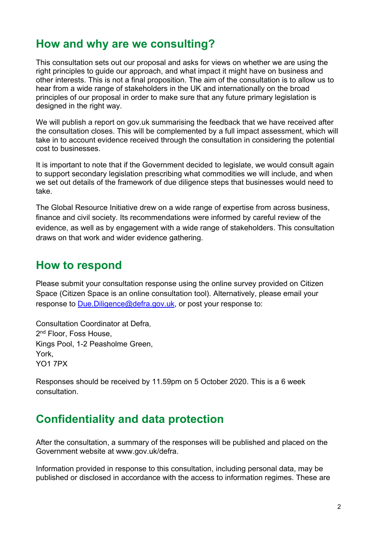### <span id="page-4-0"></span>**How and why are we consulting?**

This consultation sets out our proposal and asks for views on whether we are using the right principles to guide our approach, and what impact it might have on business and other interests. This is not a final proposition. The aim of the consultation is to allow us to hear from a wide range of stakeholders in the UK and internationally on the broad principles of our proposal in order to make sure that any future primary legislation is designed in the right way.

We will publish a report on gov.uk summarising the feedback that we have received after the consultation closes. This will be complemented by a full impact assessment, which will take in to account evidence received through the consultation in considering the potential cost to businesses.

It is important to note that if the Government decided to legislate, we would consult again to support secondary legislation prescribing what commodities we will include, and when we set out details of the framework of due diligence steps that businesses would need to take.

The Global Resource Initiative drew on a wide range of expertise from across business, finance and civil society. Its recommendations were informed by careful review of the evidence, as well as by engagement with a wide range of stakeholders. This consultation draws on that work and wider evidence gathering.

## <span id="page-4-1"></span>**How to respond**

Please submit your consultation response using the online survey provided on Citizen Space (Citizen Space is an online consultation tool). Alternatively, please email your response to [Due.Diligence@defra.gov.uk,](mailto:Due.Diligence@defra.gov.uk) or post your response to:

Consultation Coordinator at Defra, 2<sup>nd</sup> Floor, Foss House, Kings Pool, 1-2 Peasholme Green, York, YO1 7PX

Responses should be received by 11.59pm on 5 October 2020. This is a 6 week consultation.

## <span id="page-4-2"></span>**Confidentiality and data protection**

After the consultation, a summary of the responses will be published and placed on the Government website at [www.gov.uk/defra.](http://www.gov.uk/defra)

Information provided in response to this consultation, including personal data, may be published or disclosed in accordance with the access to information regimes. These are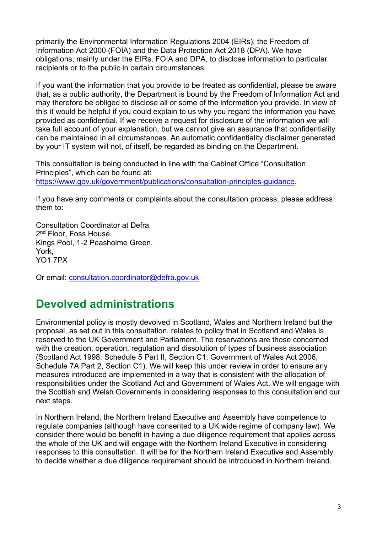primarily the Environmental Information Regulations 2004 (EIRs), the Freedom of Information Act 2000 (FOIA) and the Data Protection Act 2018 (DPA). We have obligations, mainly under the EIRs, FOIA and DPA, to disclose information to particular recipients or to the public in certain circumstances.

If you want the information that you provide to be treated as confidential, please be aware that, as a public authority, the Department is bound by the Freedom of Information Act and may therefore be obliged to disclose all or some of the information you provide. In view of this it would be helpful if you could explain to us why you regard the information you have provided as confidential. If we receive a request for disclosure of the information we will take full account of your explanation, but we cannot give an assurance that confidentiality can be maintained in all circumstances. An automatic confidentiality disclaimer generated by your IT system will not, of itself, be regarded as binding on the Department.

This consultation is being conducted in line with the Cabinet Office "Consultation Principles", which can be found at: [https://www.gov.uk/government/publications/consultation-principles-guidance.](https://www.gov.uk/government/publications/consultation-principles-guidance)

If you have any comments or complaints about the consultation process, please address them to:

Consultation Coordinator at Defra, 2<sup>nd</sup> Floor, Foss House, Kings Pool, 1-2 Peasholme Green, York, YO1 7PX

<span id="page-5-0"></span>Or email: [consultation.coordinator@defra.gov.uk](mailto:consultation.coordinator@defra.gov.uk)

#### **Devolved administrations**

Environmental policy is mostly devolved in Scotland, Wales and Northern Ireland but the proposal, as set out in this consultation, relates to policy that in Scotland and Wales is reserved to the UK Government and Parliament. The reservations are those concerned with the creation, operation, regulation and dissolution of types of business association (Scotland Act 1998: Schedule 5 Part II, Section C1; Government of Wales Act 2006, Schedule 7A Part 2, Section C1). We will keep this under review in order to ensure any measures introduced are implemented in a way that is consistent with the allocation of responsibilities under the Scotland Act and Government of Wales Act. We will engage with the Scottish and Welsh Governments in considering responses to this consultation and our next steps.

In Northern Ireland, the Northern Ireland Executive and Assembly have competence to regulate companies (although have consented to a UK wide regime of company law). We consider there would be benefit in having a due diligence requirement that applies across the whole of the UK and will engage with the Northern Ireland Executive in considering responses to this consultation. It will be for the Northern Ireland Executive and Assembly to decide whether a due diligence requirement should be introduced in Northern Ireland.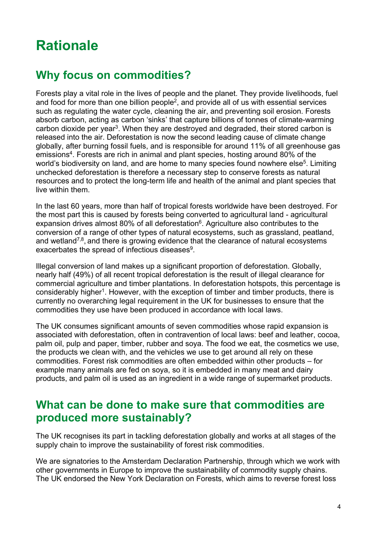## <span id="page-6-0"></span>**Rationale**

#### <span id="page-6-1"></span>**Why focus on commodities?**

Forests play a vital role in the lives of people and the planet. They provide livelihoods, fuel and food for more than one billion people<sup>2</sup>, and provide all of us with essential services such as regulating the water cycle, cleaning the air, and preventing soil erosion. Forests absorb carbon, acting as carbon 'sinks' that capture billions of tonnes of climate-warming carbon dioxide per year<sup>3</sup>. When they are destroyed and degraded, their stored carbon is released into the air. Deforestation is now the second leading cause of climate change globally, after burning fossil fuels, and is responsible for around 11% of all greenhouse gas emissions4. Forests are rich in animal and plant species, hosting around 80% of the world's biodiversity on land, and are home to many species found nowhere else<sup>5</sup>. Limiting unchecked deforestation is therefore a necessary step to conserve forests as natural resources and to protect the long-term life and health of the animal and plant species that live within them.

In the last 60 years, more than half of tropical forests worldwide have been destroyed. For the most part this is caused by forests being converted to agricultural land - agricultural expansion drives almost 80% of all deforestation $6$ . Agriculture also contributes to the conversion of a range of other types of natural ecosystems, such as grassland, peatland, and wetland<sup>7,8</sup>, and there is growing evidence that the clearance of natural ecosystems exacerbates the spread of infectious diseases<sup>9</sup>.

Illegal conversion of land makes up a significant proportion of deforestation. Globally, nearly half (49%) of all recent tropical deforestation is the result of illegal clearance for commercial agriculture and timber plantations. In deforestation hotspots, this percentage is considerably higher<sup>1</sup>. However, with the exception of timber and timber products, there is currently no overarching legal requirement in the UK for businesses to ensure that the commodities they use have been produced in accordance with local laws.

The UK consumes significant amounts of seven commodities whose rapid expansion is associated with deforestation, often in contravention of local laws: beef and leather, cocoa, palm oil, pulp and paper, timber, rubber and soya. The food we eat, the cosmetics we use, the products we clean with, and the vehicles we use to get around all rely on these commodities. Forest risk commodities are often embedded within other products – for example many animals are fed on soya, so it is embedded in many meat and dairy products, and palm oil is used as an ingredient in a wide range of supermarket products.

#### <span id="page-6-2"></span>**What can be done to make sure that commodities are produced more sustainably?**

The UK recognises its part in tackling deforestation globally and works at all stages of the supply chain to improve the sustainability of forest risk commodities.

We are signatories to the Amsterdam Declaration Partnership, through which we work with other governments in Europe to improve the sustainability of commodity supply chains. The UK endorsed the New York Declaration on Forests, which aims to reverse forest loss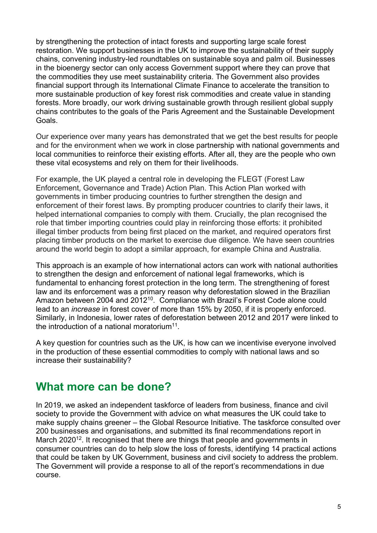by strengthening the protection of intact forests and supporting large scale forest restoration. We support businesses in the UK to improve the sustainability of their supply chains, convening industry-led roundtables on sustainable soya and palm oil. Businesses in the bioenergy sector can only access Government support where they can prove that the commodities they use meet sustainability criteria. The Government also provides financial support through its International Climate Finance to accelerate the transition to more sustainable production of key forest risk commodities and create value in standing forests. More broadly, our work driving sustainable growth through resilient global supply chains contributes to the goals of the Paris Agreement and the Sustainable Development Goals.

Our experience over many years has demonstrated that we get the best results for people and for the environment when we work in close partnership with national governments and local communities to reinforce their existing efforts. After all, they are the people who own these vital ecosystems and rely on them for their livelihoods.

For example, the UK played a central role in developing the FLEGT (Forest Law Enforcement, Governance and Trade) Action Plan. This Action Plan worked with governments in timber producing countries to further strengthen the design and enforcement of their forest laws. By prompting producer countries to clarify their laws, it helped international companies to comply with them. Crucially, the plan recognised the role that timber importing countries could play in reinforcing those efforts: it prohibited illegal timber products from being first placed on the market, and required operators first placing timber products on the market to exercise due diligence. We have seen countries around the world begin to adopt a similar approach, for example China and Australia.

This approach is an example of how international actors can work with national authorities to strengthen the design and enforcement of national legal frameworks, which is fundamental to enhancing forest protection in the long term. The strengthening of forest law and its enforcement was a primary reason why deforestation slowed in the Brazilian Amazon between 2004 and 2012<sup>10</sup>. Compliance with Brazil's Forest Code alone could lead to an *increase* in forest cover of more than 15% by 2050, if it is properly enforced. Similarly, in Indonesia, lower rates of deforestation between 2012 and 2017 were linked to the introduction of a national moratorium<sup>11</sup>.

A key question for countries such as the UK, is how can we incentivise everyone involved in the production of these essential commodities to comply with national laws and so increase their sustainability?

#### <span id="page-7-0"></span>**What more can be done?**

In 2019, we asked an independent taskforce of leaders from business, finance and civil society to provide the Government with advice on what measures the UK could take to make supply chains greener – the Global Resource Initiative. The taskforce consulted over 200 businesses and organisations, and submitted its final recommendations report in March 2020<sup>12</sup>. It recognised that there are things that people and governments in consumer countries can do to help slow the loss of forests, identifying 14 practical actions that could be taken by UK Government, business and civil society to address the problem. The Government will provide a response to all of the report's recommendations in due course.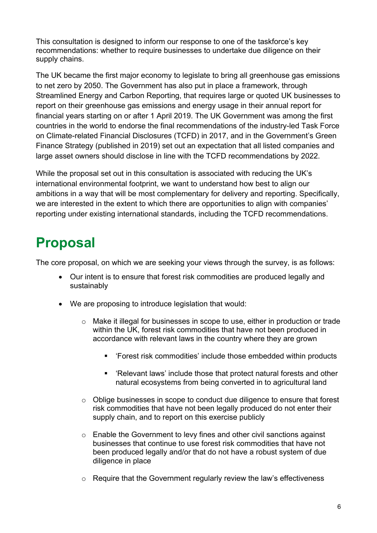This consultation is designed to inform our response to one of the taskforce's key recommendations: whether to require businesses to undertake due diligence on their supply chains.

The UK became the first major economy to legislate to bring all greenhouse gas emissions to net zero by 2050. The Government has also put in place a framework, through Streamlined Energy and Carbon Reporting, that requires large or quoted UK businesses to report on their greenhouse gas emissions and energy usage in their annual report for financial years starting on or after 1 April 2019. The UK Government was among the first countries in the world to endorse the final recommendations of the industry-led Task Force on Climate-related Financial Disclosures (TCFD) in 2017, and in the Government's Green Finance Strategy (published in 2019) set out an expectation that all listed companies and large asset owners should disclose in line with the TCFD recommendations by 2022.

While the proposal set out in this consultation is associated with reducing the UK's international environmental footprint, we want to understand how best to align our ambitions in a way that will be most complementary for delivery and reporting. Specifically, we are interested in the extent to which there are opportunities to align with companies' reporting under existing international standards, including the TCFD recommendations.

# <span id="page-8-0"></span>**Proposal**

The core proposal, on which we are seeking your views through the survey, is as follows:

- Our intent is to ensure that forest risk commodities are produced legally and sustainably
- We are proposing to introduce legislation that would:
	- $\circ$  Make it illegal for businesses in scope to use, either in production or trade within the UK, forest risk commodities that have not been produced in accordance with relevant laws in the country where they are grown
		- 'Forest risk commodities' include those embedded within products
		- 'Relevant laws' include those that protect natural forests and other natural ecosystems from being converted in to agricultural land
	- o Oblige businesses in scope to conduct due diligence to ensure that forest risk commodities that have not been legally produced do not enter their supply chain, and to report on this exercise publicly
	- o Enable the Government to levy fines and other civil sanctions against businesses that continue to use forest risk commodities that have not been produced legally and/or that do not have a robust system of due diligence in place
	- $\circ$  Require that the Government regularly review the law's effectiveness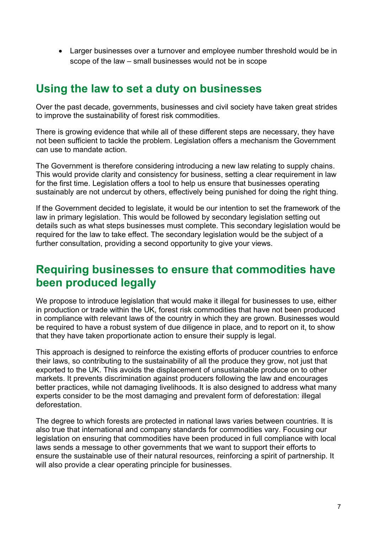• Larger businesses over a turnover and employee number threshold would be in scope of the law – small businesses would not be in scope

#### <span id="page-9-0"></span>**Using the law to set a duty on businesses**

Over the past decade, governments, businesses and civil society have taken great strides to improve the sustainability of forest risk commodities.

There is growing evidence that while all of these different steps are necessary, they have not been sufficient to tackle the problem. Legislation offers a mechanism the Government can use to mandate action.

The Government is therefore considering introducing a new law relating to supply chains. This would provide clarity and consistency for business, setting a clear requirement in law for the first time. Legislation offers a tool to help us ensure that businesses operating sustainably are not undercut by others, effectively being punished for doing the right thing.

If the Government decided to legislate, it would be our intention to set the framework of the law in primary legislation. This would be followed by secondary legislation setting out details such as what steps businesses must complete. This secondary legislation would be required for the law to take effect. The secondary legislation would be the subject of a further consultation, providing a second opportunity to give your views.

#### <span id="page-9-1"></span>**Requiring businesses to ensure that commodities have been produced legally**

We propose to introduce legislation that would make it illegal for businesses to use, either in production or trade within the UK, forest risk commodities that have not been produced in compliance with relevant laws of the country in which they are grown. Businesses would be required to have a robust system of due diligence in place, and to report on it, to show that they have taken proportionate action to ensure their supply is legal.

This approach is designed to reinforce the existing efforts of producer countries to enforce their laws, so contributing to the sustainability of all the produce they grow, not just that exported to the UK. This avoids the displacement of unsustainable produce on to other markets. It prevents discrimination against producers following the law and encourages better practices, while not damaging livelihoods. It is also designed to address what many experts consider to be the most damaging and prevalent form of deforestation: illegal deforestation.

The degree to which forests are protected in national laws varies between countries. It is also true that international and company standards for commodities vary. Focusing our legislation on ensuring that commodities have been produced in full compliance with local laws sends a message to other governments that we want to support their efforts to ensure the sustainable use of their natural resources, reinforcing a spirit of partnership. It will also provide a clear operating principle for businesses.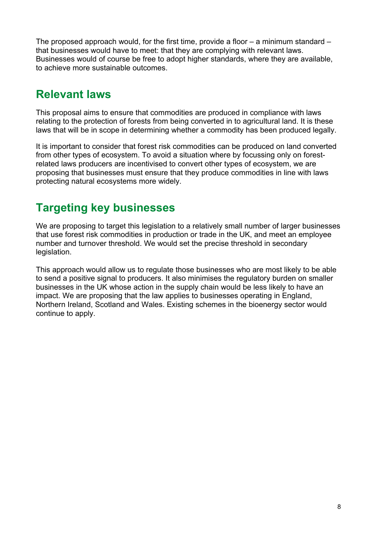The proposed approach would, for the first time, provide a floor – a minimum standard – that businesses would have to meet: that they are complying with relevant laws. Businesses would of course be free to adopt higher standards, where they are available, to achieve more sustainable outcomes.

## <span id="page-10-0"></span>**Relevant laws**

This proposal aims to ensure that commodities are produced in compliance with laws relating to the protection of forests from being converted in to agricultural land. It is these laws that will be in scope in determining whether a commodity has been produced legally.

It is important to consider that forest risk commodities can be produced on land converted from other types of ecosystem. To avoid a situation where by focussing only on forestrelated laws producers are incentivised to convert other types of ecosystem, we are proposing that businesses must ensure that they produce commodities in line with laws protecting natural ecosystems more widely.

## <span id="page-10-1"></span>**Targeting key businesses**

We are proposing to target this legislation to a relatively small number of larger businesses that use forest risk commodities in production or trade in the UK, and meet an employee number and turnover threshold. We would set the precise threshold in secondary legislation.

This approach would allow us to regulate those businesses who are most likely to be able to send a positive signal to producers. It also minimises the regulatory burden on smaller businesses in the UK whose action in the supply chain would be less likely to have an impact. We are proposing that the law applies to businesses operating in England, Northern Ireland, Scotland and Wales. Existing schemes in the bioenergy sector would continue to apply.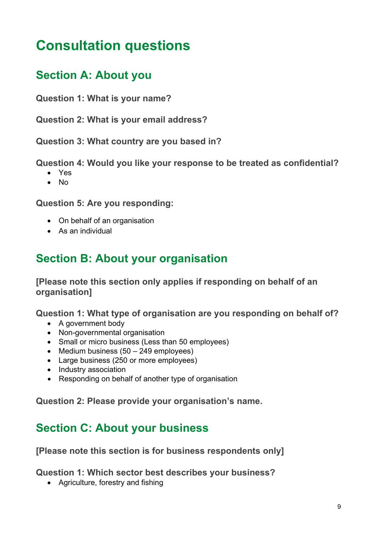# <span id="page-11-0"></span>**Consultation questions**

### <span id="page-11-1"></span>**Section A: About you**

**Question 1: What is your name?**

**Question 2: What is your email address?**

**Question 3: What country are you based in?**

**Question 4: Would you like your response to be treated as confidential?**

- Yes
- No

**Question 5: Are you responding:**

- On behalf of an organisation
- As an individual

#### <span id="page-11-2"></span>**Section B: About your organisation**

**[Please note this section only applies if responding on behalf of an organisation]**

**Question 1: What type of organisation are you responding on behalf of?** 

- A government body
- Non-governmental organisation
- Small or micro business (Less than 50 employees)
- Medium business (50 249 employees)
- Large business (250 or more employees)
- Industry association
- Responding on behalf of another type of organisation

<span id="page-11-3"></span>**Question 2: Please provide your organisation's name.**

## **Section C: About your business**

**[Please note this section is for business respondents only]**

**Question 1: Which sector best describes your business?**

• Agriculture, forestry and fishing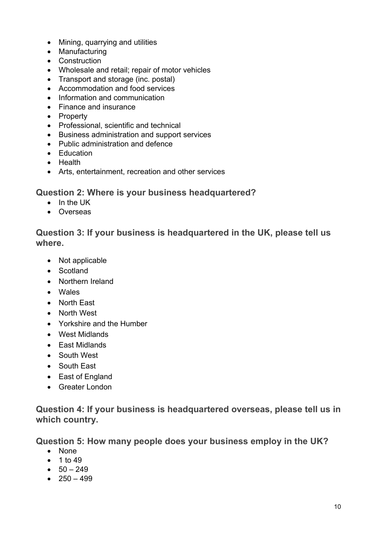- Mining, quarrying and utilities
- Manufacturing
- Construction
- Wholesale and retail; repair of motor vehicles
- Transport and storage (inc. postal)
- Accommodation and food services
- Information and communication
- Finance and insurance
- Property
- Professional, scientific and technical
- Business administration and support services
- Public administration and defence
- Education
- Health
- Arts, entertainment, recreation and other services

#### **Question 2: Where is your business headquartered?**

- In the UK
- Overseas

#### **Question 3: If your business is headquartered in the UK, please tell us where.**

- Not applicable
- Scotland
- Northern Ireland
- Wales
- North East
- North West
- Yorkshire and the Humber
- West Midlands
- East Midlands
- South West
- South East
- East of England
- Greater London

#### **Question 4: If your business is headquartered overseas, please tell us in which country.**

#### **Question 5: How many people does your business employ in the UK?**

- None
- $\bullet$  1 to 49
- $50 249$
- $250 499$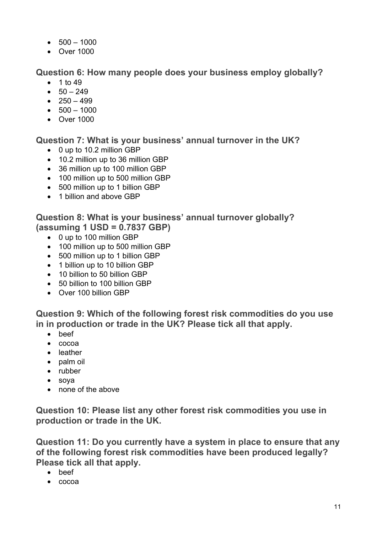- $500 1000$
- Over 1000

**Question 6: How many people does your business employ globally?**

- $1 to 49$
- $50 249$
- $250 499$
- $500 1000$
- Over 1000

#### **Question 7: What is your business' annual turnover in the UK?**

- 0 up to 10.2 million GBP
- 10.2 million up to 36 million GBP
- 36 million up to 100 million GBP
- 100 million up to 500 million GBP
- 500 million up to 1 billion GBP
- 1 billion and above GBP

#### **Question 8: What is your business' annual turnover globally? (assuming 1 USD = 0.7837 GBP)**

- 0 up to 100 million GBP
- 100 million up to 500 million GBP
- 500 million up to 1 billion GBP
- 1 billion up to 10 billion GBP
- 10 billion to 50 billion GBP
- 50 billion to 100 billion GBP
- Over 100 billion GBP

**Question 9: Which of the following forest risk commodities do you use in in production or trade in the UK? Please tick all that apply.**

- beef
- cocoa
- leather
- palm oil
- rubber
- soya
- none of the above

**Question 10: Please list any other forest risk commodities you use in production or trade in the UK.**

**Question 11: Do you currently have a system in place to ensure that any of the following forest risk commodities have been produced legally? Please tick all that apply.**

- beef
- cocoa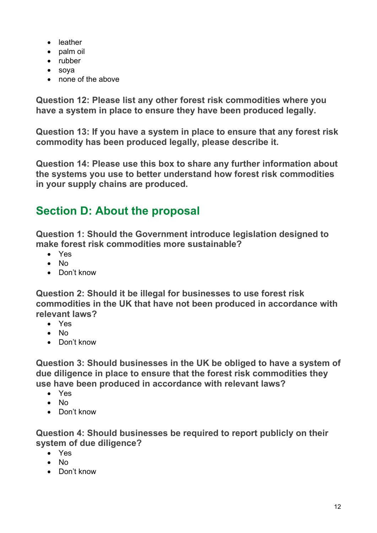- leather
- palm oil
- rubber
- soya
- none of the above

**Question 12: Please list any other forest risk commodities where you have a system in place to ensure they have been produced legally.**

**Question 13: If you have a system in place to ensure that any forest risk commodity has been produced legally, please describe it.**

**Question 14: Please use this box to share any further information about the systems you use to better understand how forest risk commodities in your supply chains are produced.**

## <span id="page-14-0"></span>**Section D: About the proposal**

**Question 1: Should the Government introduce legislation designed to make forest risk commodities more sustainable?**

- Yes
- No
- Don't know

**Question 2: Should it be illegal for businesses to use forest risk commodities in the UK that have not been produced in accordance with relevant laws?**

- Yes
- No
- Don't know

**Question 3: Should businesses in the UK be obliged to have a system of due diligence in place to ensure that the forest risk commodities they use have been produced in accordance with relevant laws?**

- Yes
- No
- Don't know

**Question 4: Should businesses be required to report publicly on their system of due diligence?**

- Yes
- No
- Don't know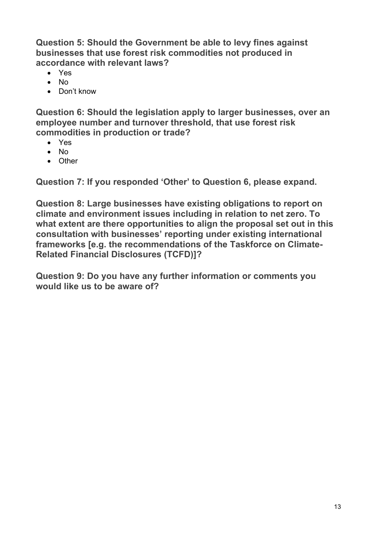**Question 5: Should the Government be able to levy fines against businesses that use forest risk commodities not produced in accordance with relevant laws?**

- Yes
- No
- Don't know

**Question 6: Should the legislation apply to larger businesses, over an employee number and turnover threshold, that use forest risk commodities in production or trade?**

- Yes
- No
- Other

**Question 7: If you responded 'Other' to Question 6, please expand.**

**Question 8: Large businesses have existing obligations to report on climate and environment issues including in relation to net zero. To what extent are there opportunities to align the proposal set out in this consultation with businesses' reporting under existing international frameworks [e.g. the recommendations of the Taskforce on Climate-Related Financial Disclosures (TCFD)]?**

**Question 9: Do you have any further information or comments you would like us to be aware of?**